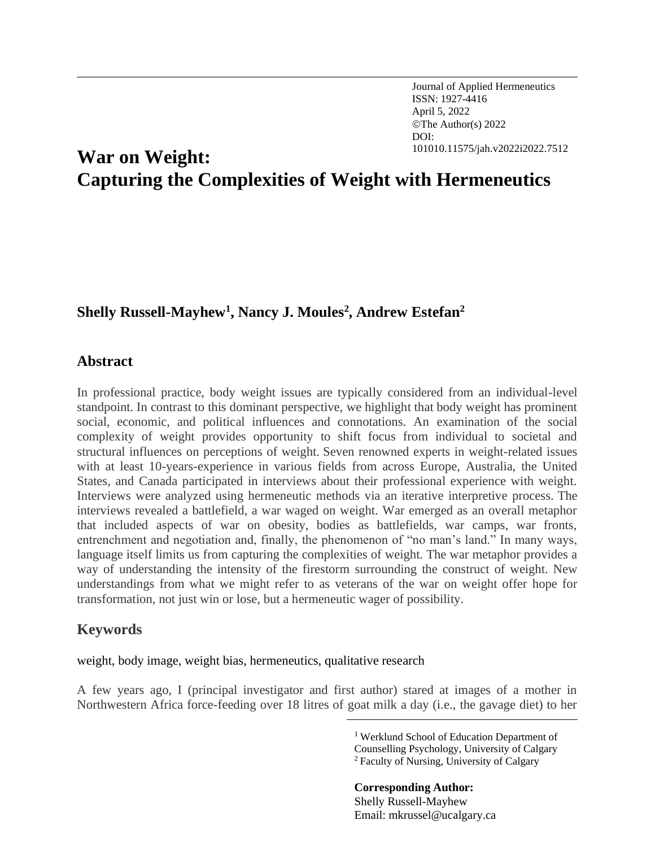Journal of Applied Hermeneutics ISSN: 1927-4416 April 5, 2022 ©The Author(s) 2022 DOI:

# 101010.11575/jah.v2022i2022.7512 **War on Weight:** <sup>7</sup> **Capturing the Complexities of Weight with Hermeneutics**

# **Shelly Russell-Mayhew<sup>1</sup> , Nancy J. Moules<sup>2</sup> , Andrew Estefan<sup>2</sup>**

#### **Abstract**

In professional practice, body weight issues are typically considered from an individual-level standpoint. In contrast to this dominant perspective, we highlight that body weight has prominent social, economic, and political influences and connotations. An examination of the social complexity of weight provides opportunity to shift focus from individual to societal and structural influences on perceptions of weight. Seven renowned experts in weight-related issues with at least 10-years-experience in various fields from across Europe, Australia, the United States, and Canada participated in interviews about their professional experience with weight. Interviews were analyzed using hermeneutic methods via an iterative interpretive process. The interviews revealed a battlefield, a war waged on weight. War emerged as an overall metaphor that included aspects of war on obesity, bodies as battlefields, war camps, war fronts, entrenchment and negotiation and, finally, the phenomenon of "no man's land." In many ways, language itself limits us from capturing the complexities of weight. The war metaphor provides a way of understanding the intensity of the firestorm surrounding the construct of weight. New understandings from what we might refer to as veterans of the war on weight offer hope for transformation, not just win or lose, but a hermeneutic wager of possibility.

## **Keywords**

weight, body image, weight bias, hermeneutics, qualitative research

A few years ago, I (principal investigator and first author) stared at images of a mother in Northwestern Africa force-feeding over 18 litres of goat milk a day (i.e., the gavage diet) to her

**Corresponding Author:**  Shelly Russell-Mayhew Email: mkrussel@ucalgary.ca

<sup>1</sup> Werklund School of Education Department of Counselling Psychology, University of Calgary <sup>2</sup>Faculty of Nursing, University of Calgary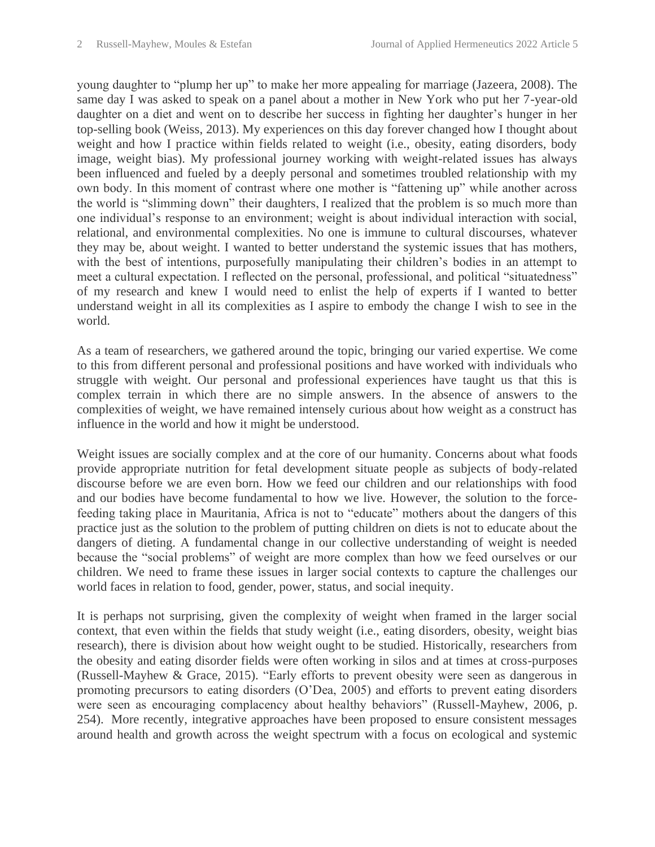young daughter to "plump her up" to make her more appealing for marriage (Jazeera, 2008). The same day I was asked to speak on a panel about a mother in New York who put her 7-year-old daughter on a diet and went on to describe her success in fighting her daughter's hunger in her top-selling book (Weiss, 2013). My experiences on this day forever changed how I thought about weight and how I practice within fields related to weight (i.e., obesity, eating disorders, body image, weight bias). My professional journey working with weight-related issues has always been influenced and fueled by a deeply personal and sometimes troubled relationship with my own body. In this moment of contrast where one mother is "fattening up" while another across the world is "slimming down" their daughters, I realized that the problem is so much more than one individual's response to an environment; weight is about individual interaction with social, relational, and environmental complexities. No one is immune to cultural discourses, whatever they may be, about weight. I wanted to better understand the systemic issues that has mothers, with the best of intentions, purposefully manipulating their children's bodies in an attempt to meet a cultural expectation. I reflected on the personal, professional, and political "situatedness" of my research and knew I would need to enlist the help of experts if I wanted to better understand weight in all its complexities as I aspire to embody the change I wish to see in the world.

As a team of researchers, we gathered around the topic, bringing our varied expertise. We come to this from different personal and professional positions and have worked with individuals who struggle with weight. Our personal and professional experiences have taught us that this is complex terrain in which there are no simple answers. In the absence of answers to the complexities of weight, we have remained intensely curious about how weight as a construct has influence in the world and how it might be understood.

Weight issues are socially complex and at the core of our humanity. Concerns about what foods provide appropriate nutrition for fetal development situate people as subjects of body-related discourse before we are even born. How we feed our children and our relationships with food and our bodies have become fundamental to how we live. However, the solution to the forcefeeding taking place in Mauritania, Africa is not to "educate" mothers about the dangers of this practice just as the solution to the problem of putting children on diets is not to educate about the dangers of dieting. A fundamental change in our collective understanding of weight is needed because the "social problems" of weight are more complex than how we feed ourselves or our children. We need to frame these issues in larger social contexts to capture the challenges our world faces in relation to food, gender, power, status, and social inequity.

It is perhaps not surprising, given the complexity of weight when framed in the larger social context, that even within the fields that study weight (i.e., eating disorders, obesity, weight bias research), there is division about how weight ought to be studied. Historically, researchers from the obesity and eating disorder fields were often working in silos and at times at cross-purposes (Russell-Mayhew & Grace, 2015). "Early efforts to prevent obesity were seen as dangerous in promoting precursors to eating disorders (O'Dea, 2005) and efforts to prevent eating disorders were seen as encouraging complacency about healthy behaviors" (Russell-Mayhew, 2006, p. 254). More recently, integrative approaches have been proposed to ensure consistent messages around health and growth across the weight spectrum with a focus on ecological and systemic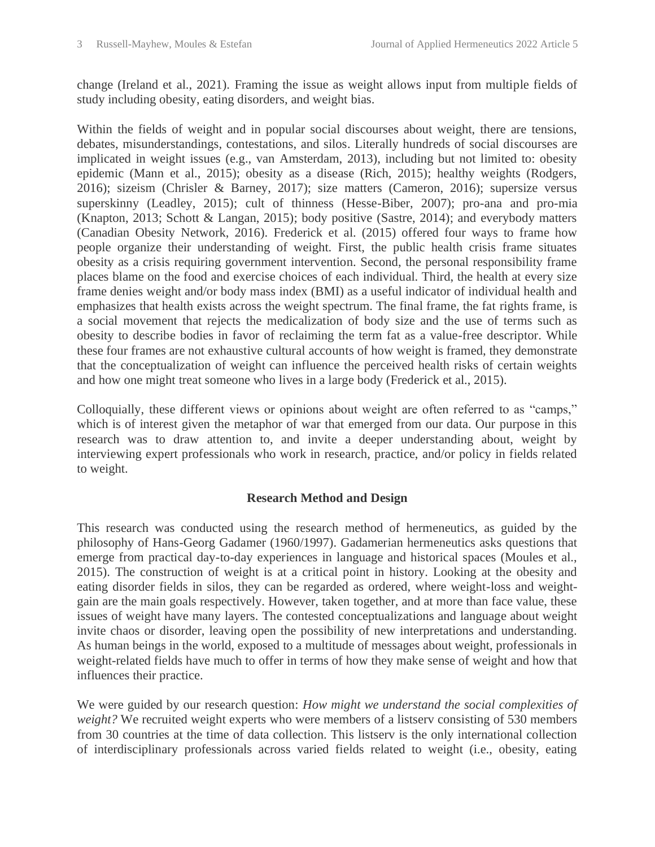change (Ireland et al., 2021). Framing the issue as weight allows input from multiple fields of study including obesity, eating disorders, and weight bias.

Within the fields of weight and in popular social discourses about weight, there are tensions, debates, misunderstandings, contestations, and silos. Literally hundreds of social discourses are implicated in weight issues (e.g., van Amsterdam, 2013), including but not limited to: obesity epidemic (Mann et al., 2015); obesity as a disease (Rich, 2015); healthy weights (Rodgers, 2016); sizeism (Chrisler & Barney, 2017); size matters (Cameron, 2016); supersize versus superskinny (Leadley, 2015); cult of thinness (Hesse-Biber, 2007); pro-ana and pro-mia (Knapton, 2013; Schott & Langan, 2015); body positive (Sastre, 2014); and everybody matters (Canadian Obesity Network, 2016). Frederick et al. (2015) offered four ways to frame how people organize their understanding of weight. First, the public health crisis frame situates obesity as a crisis requiring government intervention. Second, the personal responsibility frame places blame on the food and exercise choices of each individual. Third, the health at every size frame denies weight and/or body mass index (BMI) as a useful indicator of individual health and emphasizes that health exists across the weight spectrum. The final frame, the fat rights frame, is a social movement that rejects the medicalization of body size and the use of terms such as obesity to describe bodies in favor of reclaiming the term fat as a value-free descriptor. While these four frames are not exhaustive cultural accounts of how weight is framed, they demonstrate that the conceptualization of weight can influence the perceived health risks of certain weights and how one might treat someone who lives in a large body (Frederick et al., 2015).

Colloquially, these different views or opinions about weight are often referred to as "camps," which is of interest given the metaphor of war that emerged from our data. Our purpose in this research was to draw attention to, and invite a deeper understanding about, weight by interviewing expert professionals who work in research, practice, and/or policy in fields related to weight.

## **Research Method and Design**

This research was conducted using the research method of hermeneutics, as guided by the philosophy of Hans-Georg Gadamer (1960/1997). Gadamerian hermeneutics asks questions that emerge from practical day-to-day experiences in language and historical spaces (Moules et al., 2015). The construction of weight is at a critical point in history. Looking at the obesity and eating disorder fields in silos, they can be regarded as ordered, where weight-loss and weightgain are the main goals respectively. However, taken together, and at more than face value, these issues of weight have many layers. The contested conceptualizations and language about weight invite chaos or disorder, leaving open the possibility of new interpretations and understanding. As human beings in the world, exposed to a multitude of messages about weight, professionals in weight-related fields have much to offer in terms of how they make sense of weight and how that influences their practice.

We were guided by our research question: *How might we understand the social complexities of weight?* We recruited weight experts who were members of a listserv consisting of 530 members from 30 countries at the time of data collection. This listserv is the only international collection of interdisciplinary professionals across varied fields related to weight (i.e., obesity, eating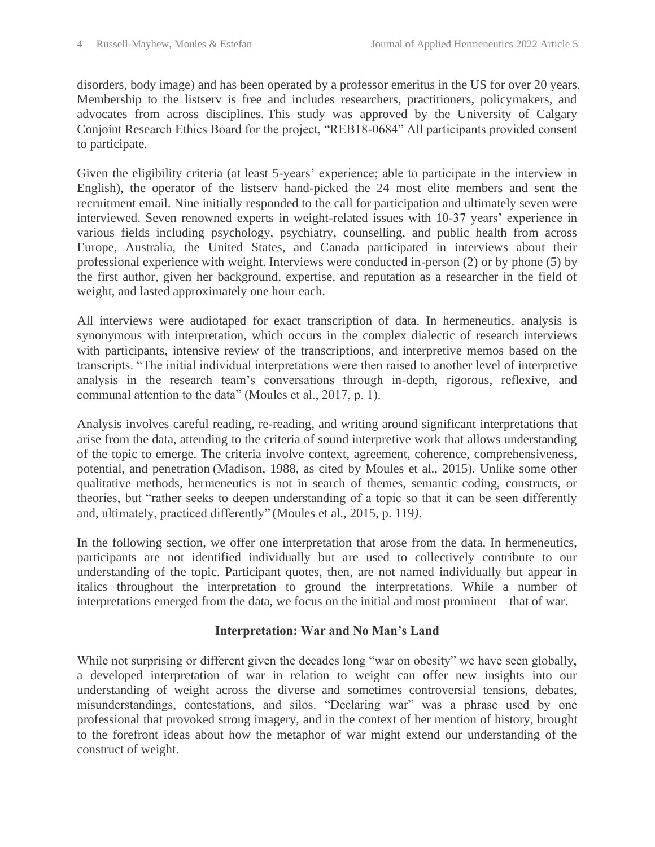disorders, body image) and has been operated by a professor emeritus in the US for over 20 years. Membership to the listserv is free and includes researchers, practitioners, policymakers, and advocates from across disciplines. This study was approved by the University of Calgary Conjoint Research Ethics Board for the project, "REB18-0684" All participants provided consent to participate.

Given the eligibility criteria (at least 5-years' experience; able to participate in the interview in English), the operator of the listserv hand-picked the 24 most elite members and sent the recruitment email. Nine initially responded to the call for participation and ultimately seven were interviewed. Seven renowned experts in weight-related issues with 10-37 years' experience in various fields including psychology, psychiatry, counselling, and public health from across Europe, Australia, the United States, and Canada participated in interviews about their professional experience with weight. Interviews were conducted in-person (2) or by phone (5) by the first author, given her background, expertise, and reputation as a researcher in the field of weight, and lasted approximately one hour each.

All interviews were audiotaped for exact transcription of data. In hermeneutics, analysis is synonymous with interpretation, which occurs in the complex dialectic of research interviews with participants, intensive review of the transcriptions, and interpretive memos based on the transcripts. "The initial individual interpretations were then raised to another level of interpretive analysis in the research team's conversations through in-depth, rigorous, reflexive, and communal attention to the data" (Moules et al., 2017, p. 1).

Analysis involves careful reading, re-reading, and writing around significant interpretations that arise from the data, attending to the criteria of sound interpretive work that allows understanding of the topic to emerge. The criteria involve context, agreement, coherence, comprehensiveness, potential, and penetration (Madison, 1988, as cited by Moules et al., 2015). Unlike some other qualitative methods, hermeneutics is not in search of themes, semantic coding, constructs, or theories, but "rather seeks to deepen understanding of a topic so that it can be seen differently and, ultimately, practiced differently" (Moules et al., 2015, p. 119*)*.

In the following section, we offer one interpretation that arose from the data. In hermeneutics, participants are not identified individually but are used to collectively contribute to our understanding of the topic. Participant quotes, then, are not named individually but appear in italics throughout the interpretation to ground the interpretations. While a number of interpretations emerged from the data, we focus on the initial and most prominent—that of war.

#### **Interpretation: War and No Man's Land**

While not surprising or different given the decades long "war on obesity" we have seen globally, a developed interpretation of war in relation to weight can offer new insights into our understanding of weight across the diverse and sometimes controversial tensions, debates, misunderstandings, contestations, and silos. "Declaring war" was a phrase used by one professional that provoked strong imagery, and in the context of her mention of history, brought to the forefront ideas about how the metaphor of war might extend our understanding of the construct of weight.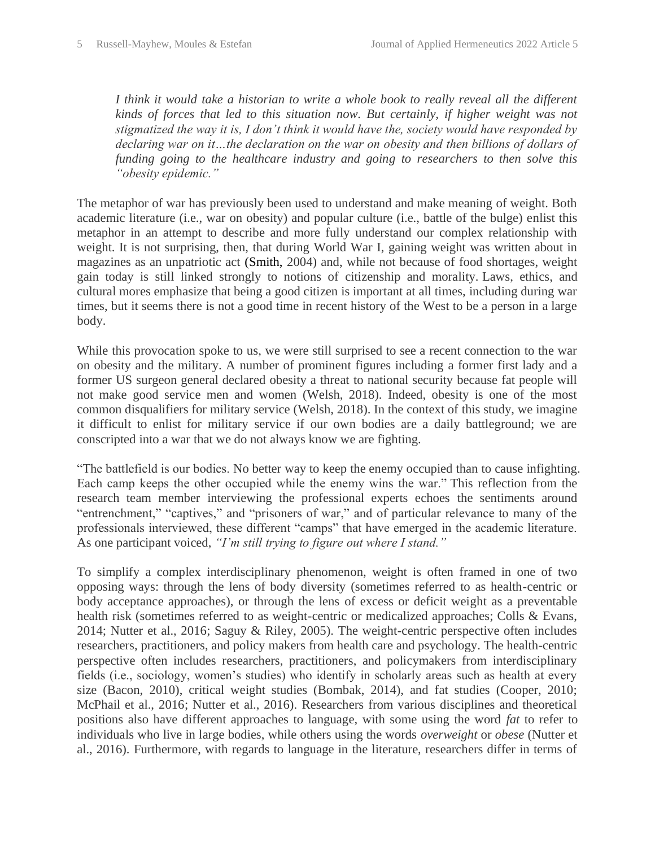*I think it would take a historian to write a whole book to really reveal all the different kinds of forces that led to this situation now. But certainly, if higher weight was not stigmatized the way it is, I don't think it would have the, society would have responded by declaring war on it…the declaration on the war on obesity and then billions of dollars of funding going to the healthcare industry and going to researchers to then solve this "obesity epidemic."*

The metaphor of war has previously been used to understand and make meaning of weight. Both academic literature (i.e., war on obesity) and popular culture (i.e., battle of the bulge) enlist this metaphor in an attempt to describe and more fully understand our complex relationship with weight. It is not surprising, then, that during World War I, gaining weight was written about in magazines as an unpatriotic act (Smith, 2004) and, while not because of food shortages, weight gain today is still linked strongly to notions of citizenship and morality. Laws, ethics, and cultural mores emphasize that being a good citizen is important at all times, including during war times, but it seems there is not a good time in recent history of the West to be a person in a large body.

While this provocation spoke to us, we were still surprised to see a recent connection to the war on obesity and the military. A number of prominent figures including a former first lady and a former US surgeon general declared obesity a threat to national security because fat people will not make good service men and women (Welsh, 2018). Indeed, obesity is one of the most common disqualifiers for military service (Welsh, 2018). In the context of this study, we imagine it difficult to enlist for military service if our own bodies are a daily battleground; we are conscripted into a war that we do not always know we are fighting.

"The battlefield is our bodies. No better way to keep the enemy occupied than to cause infighting. Each camp keeps the other occupied while the enemy wins the war." This reflection from the research team member interviewing the professional experts echoes the sentiments around "entrenchment," "captives," and "prisoners of war," and of particular relevance to many of the professionals interviewed, these different "camps" that have emerged in the academic literature. As one participant voiced, *"I'm still trying to figure out where I stand."*

To simplify a complex interdisciplinary phenomenon, weight is often framed in one of two opposing ways: through the lens of body diversity (sometimes referred to as health-centric or body acceptance approaches), or through the lens of excess or deficit weight as a preventable health risk (sometimes referred to as weight-centric or medicalized approaches; Colls & Evans, 2014; Nutter et al., 2016; Saguy & Riley, 2005). The weight-centric perspective often includes researchers, practitioners, and policy makers from health care and psychology. The health-centric perspective often includes researchers, practitioners, and policymakers from interdisciplinary fields (i.e., sociology, women's studies) who identify in scholarly areas such as health at every size (Bacon, 2010), critical weight studies (Bombak, 2014), and fat studies (Cooper, 2010; McPhail et al., 2016; Nutter et al., 2016). Researchers from various disciplines and theoretical positions also have different approaches to language, with some using the word *fat* to refer to individuals who live in large bodies, while others using the words *overweight* or *obese* (Nutter et al., 2016). Furthermore, with regards to language in the literature, researchers differ in terms of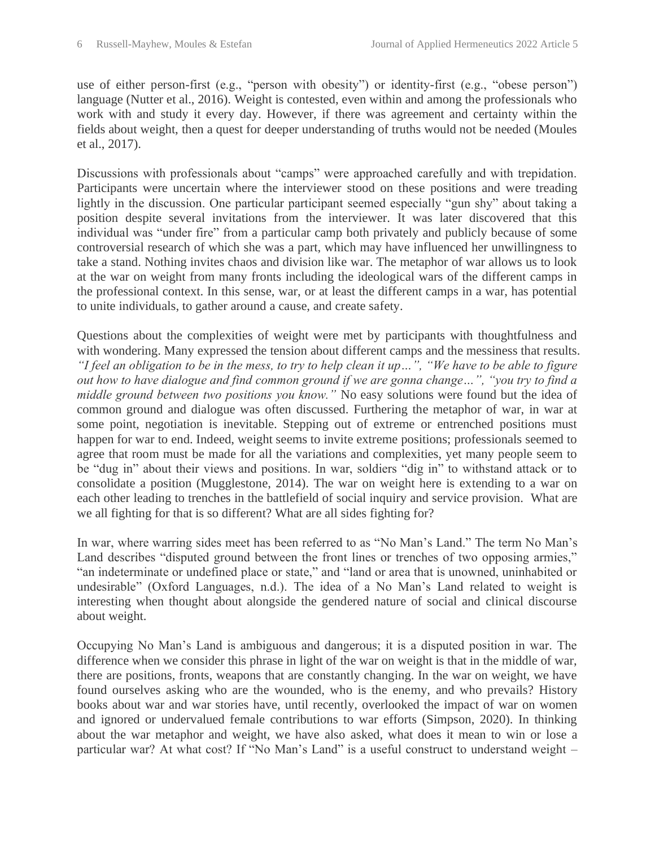use of either person-first (e.g., "person with obesity") or identity-first (e.g., "obese person") language (Nutter et al., 2016). Weight is contested, even within and among the professionals who work with and study it every day. However, if there was agreement and certainty within the fields about weight, then a quest for deeper understanding of truths would not be needed (Moules et al., 2017).

Discussions with professionals about "camps" were approached carefully and with trepidation. Participants were uncertain where the interviewer stood on these positions and were treading lightly in the discussion. One particular participant seemed especially "gun shy" about taking a position despite several invitations from the interviewer. It was later discovered that this individual was "under fire" from a particular camp both privately and publicly because of some controversial research of which she was a part, which may have influenced her unwillingness to take a stand. Nothing invites chaos and division like war. The metaphor of war allows us to look at the war on weight from many fronts including the ideological wars of the different camps in the professional context. In this sense, war, or at least the different camps in a war, has potential to unite individuals, to gather around a cause, and create safety.

Questions about the complexities of weight were met by participants with thoughtfulness and with wondering. Many expressed the tension about different camps and the messiness that results. *"I feel an obligation to be in the mess, to try to help clean it up…", "We have to be able to figure out how to have dialogue and find common ground if we are gonna change…", "you try to find a middle ground between two positions you know."* No easy solutions were found but the idea of common ground and dialogue was often discussed. Furthering the metaphor of war, in war at some point, negotiation is inevitable. Stepping out of extreme or entrenched positions must happen for war to end. Indeed, weight seems to invite extreme positions; professionals seemed to agree that room must be made for all the variations and complexities, yet many people seem to be "dug in" about their views and positions. In war, soldiers "dig in" to withstand attack or to consolidate a position (Mugglestone, 2014). The war on weight here is extending to a war on each other leading to trenches in the battlefield of social inquiry and service provision. What are we all fighting for that is so different? What are all sides fighting for?

In war, where warring sides meet has been referred to as "No Man's Land." The term No Man's Land describes "disputed ground between the front lines or trenches of two opposing armies," "an indeterminate or undefined place or state," and "land or area that is unowned, uninhabited or undesirable" (Oxford Languages, n.d.). The idea of a No Man's Land related to weight is interesting when thought about alongside the gendered nature of social and clinical discourse about weight.

Occupying No Man's Land is ambiguous and dangerous; it is a disputed position in war. The difference when we consider this phrase in light of the war on weight is that in the middle of war, there are positions, fronts, weapons that are constantly changing. In the war on weight, we have found ourselves asking who are the wounded, who is the enemy, and who prevails? History books about war and war stories have, until recently, overlooked the impact of war on women and ignored or undervalued female contributions to war efforts (Simpson, 2020). In thinking about the war metaphor and weight, we have also asked, what does it mean to win or lose a particular war? At what cost? If "No Man's Land" is a useful construct to understand weight –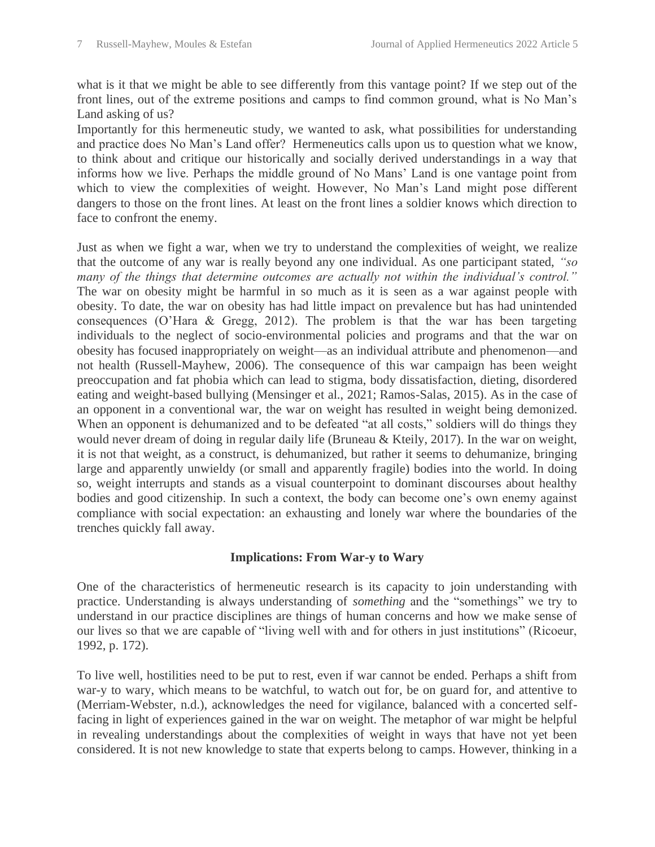what is it that we might be able to see differently from this vantage point? If we step out of the front lines, out of the extreme positions and camps to find common ground, what is No Man's Land asking of us?

Importantly for this hermeneutic study, we wanted to ask, what possibilities for understanding and practice does No Man's Land offer? Hermeneutics calls upon us to question what we know, to think about and critique our historically and socially derived understandings in a way that informs how we live. Perhaps the middle ground of No Mans' Land is one vantage point from which to view the complexities of weight. However, No Man's Land might pose different dangers to those on the front lines. At least on the front lines a soldier knows which direction to face to confront the enemy.

Just as when we fight a war, when we try to understand the complexities of weight, we realize that the outcome of any war is really beyond any one individual. As one participant stated, *"so many of the things that determine outcomes are actually not within the individual's control."*  The war on obesity might be harmful in so much as it is seen as a war against people with obesity. To date, the war on obesity has had little impact on prevalence but has had unintended consequences (O'Hara & Gregg, 2012). The problem is that the war has been targeting individuals to the neglect of socio-environmental policies and programs and that the war on obesity has focused inappropriately on weight—as an individual attribute and phenomenon—and not health (Russell-Mayhew, 2006). The consequence of this war campaign has been weight preoccupation and fat phobia which can lead to stigma, body dissatisfaction, dieting, disordered eating and weight-based bullying (Mensinger et al., 2021; Ramos-Salas, 2015). As in the case of an opponent in a conventional war, the war on weight has resulted in weight being demonized. When an opponent is dehumanized and to be defeated "at all costs," soldiers will do things they would never dream of doing in regular daily life (Bruneau & Kteily, 2017). In the war on weight, it is not that weight, as a construct, is dehumanized, but rather it seems to dehumanize, bringing large and apparently unwieldy (or small and apparently fragile) bodies into the world. In doing so, weight interrupts and stands as a visual counterpoint to dominant discourses about healthy bodies and good citizenship. In such a context, the body can become one's own enemy against compliance with social expectation: an exhausting and lonely war where the boundaries of the trenches quickly fall away.

#### **Implications: From War-y to Wary**

One of the characteristics of hermeneutic research is its capacity to join understanding with practice. Understanding is always understanding of *something* and the "somethings" we try to understand in our practice disciplines are things of human concerns and how we make sense of our lives so that we are capable of "living well with and for others in just institutions" (Ricoeur, 1992, p. 172).

To live well, hostilities need to be put to rest, even if war cannot be ended. Perhaps a shift from war-y to wary, which means to be watchful, to watch out for, be on guard for, and attentive to (Merriam-Webster, n.d.), acknowledges the need for vigilance, balanced with a concerted selffacing in light of experiences gained in the war on weight. The metaphor of war might be helpful in revealing understandings about the complexities of weight in ways that have not yet been considered. It is not new knowledge to state that experts belong to camps. However, thinking in a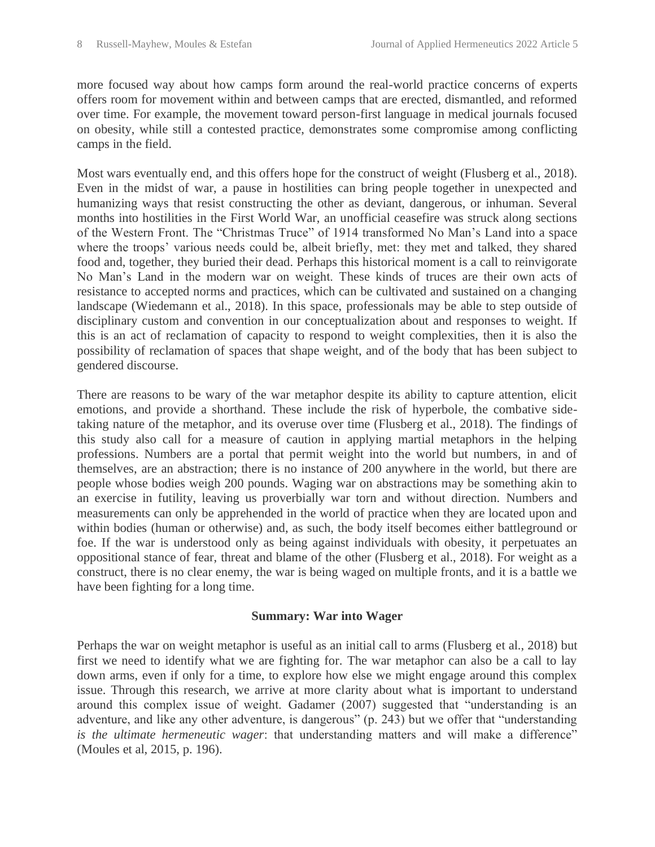more focused way about how camps form around the real-world practice concerns of experts offers room for movement within and between camps that are erected, dismantled, and reformed over time. For example, the movement toward person-first language in medical journals focused on obesity, while still a contested practice, demonstrates some compromise among conflicting camps in the field.

Most wars eventually end, and this offers hope for the construct of weight (Flusberg et al., 2018). Even in the midst of war, a pause in hostilities can bring people together in unexpected and humanizing ways that resist constructing the other as deviant, dangerous, or inhuman. Several months into hostilities in the First World War, an unofficial ceasefire was struck along sections of the Western Front. The "Christmas Truce" of 1914 transformed No Man's Land into a space where the troops' various needs could be, albeit briefly, met: they met and talked, they shared food and, together, they buried their dead. Perhaps this historical moment is a call to reinvigorate No Man's Land in the modern war on weight. These kinds of truces are their own acts of resistance to accepted norms and practices, which can be cultivated and sustained on a changing landscape (Wiedemann et al., 2018). In this space, professionals may be able to step outside of disciplinary custom and convention in our conceptualization about and responses to weight. If this is an act of reclamation of capacity to respond to weight complexities, then it is also the possibility of reclamation of spaces that shape weight, and of the body that has been subject to gendered discourse.

There are reasons to be wary of the war metaphor despite its ability to capture attention, elicit emotions, and provide a shorthand. These include the risk of hyperbole, the combative sidetaking nature of the metaphor, and its overuse over time (Flusberg et al., 2018). The findings of this study also call for a measure of caution in applying martial metaphors in the helping professions. Numbers are a portal that permit weight into the world but numbers, in and of themselves, are an abstraction; there is no instance of 200 anywhere in the world, but there are people whose bodies weigh 200 pounds. Waging war on abstractions may be something akin to an exercise in futility, leaving us proverbially war torn and without direction. Numbers and measurements can only be apprehended in the world of practice when they are located upon and within bodies (human or otherwise) and, as such, the body itself becomes either battleground or foe. If the war is understood only as being against individuals with obesity, it perpetuates an oppositional stance of fear, threat and blame of the other (Flusberg et al., 2018). For weight as a construct, there is no clear enemy, the war is being waged on multiple fronts, and it is a battle we have been fighting for a long time.

#### **Summary: War into Wager**

Perhaps the war on weight metaphor is useful as an initial call to arms (Flusberg et al., 2018) but first we need to identify what we are fighting for. The war metaphor can also be a call to lay down arms, even if only for a time, to explore how else we might engage around this complex issue. Through this research, we arrive at more clarity about what is important to understand around this complex issue of weight. Gadamer (2007) suggested that "understanding is an adventure, and like any other adventure, is dangerous" (p. 243) but we offer that "understanding *is the ultimate hermeneutic wager*: that understanding matters and will make a difference" (Moules et al, 2015, p. 196).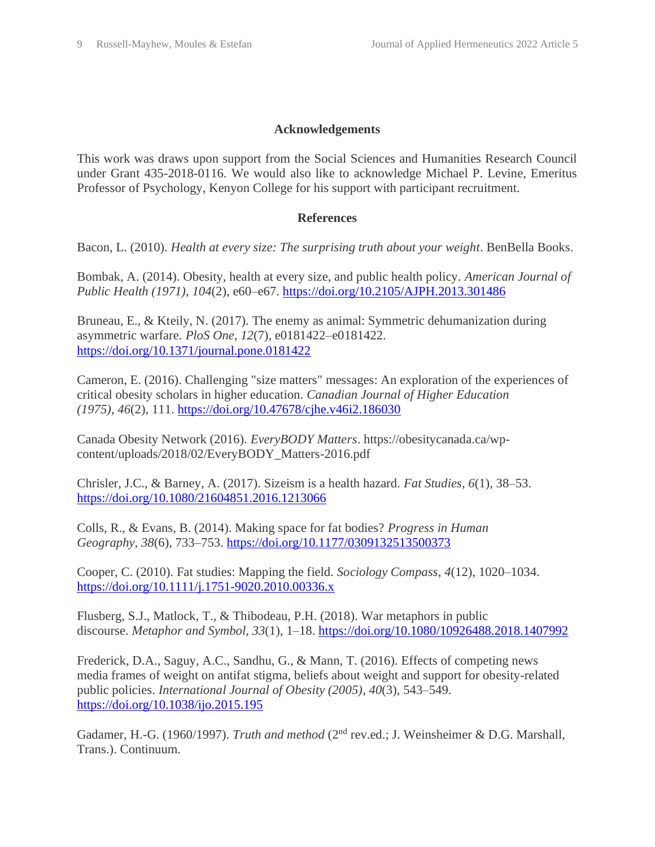#### **Acknowledgements**

This work was draws upon support from the Social Sciences and Humanities Research Council under Grant 435-2018-0116. We would also like to acknowledge Michael P. Levine, Emeritus Professor of Psychology, Kenyon College for his support with participant recruitment.

#### **References**

Bacon, L. (2010). *Health at every size: The surprising truth about your weight*. BenBella Books.

Bombak, A. (2014). Obesity, health at every size, and public health policy. *American Journal of Public Health (1971)*, *104*(2), e60–e67.<https://doi.org/10.2105/AJPH.2013.301486>

Bruneau, E., & Kteily, N. (2017). The enemy as animal: Symmetric dehumanization during asymmetric warfare. *PloS One*, *12*(7), e0181422–e0181422. <https://doi.org/10.1371/journal.pone.0181422>

Cameron, E. (2016). Challenging "size matters" messages: An exploration of the experiences of critical obesity scholars in higher education. *Canadian Journal of Higher Education (1975)*, *46*(2), 111.<https://doi.org/10.47678/cjhe.v46i2.186030>

Canada Obesity Network (2016). *EveryBODY Matters*. https://obesitycanada.ca/wpcontent/uploads/2018/02/EveryBODY\_Matters-2016.pdf

Chrisler, J.C., & Barney, A. (2017). Sizeism is a health hazard. *Fat Studies*, *6*(1), 38–53. <https://doi.org/10.1080/21604851.2016.1213066>

Colls, R., & Evans, B. (2014). Making space for fat bodies? *Progress in Human Geography*, *38*(6), 733–753.<https://doi.org/10.1177/0309132513500373>

Cooper, C. (2010). Fat studies: Mapping the field. *Sociology Compass*, *4*(12), 1020–1034. <https://doi.org/10.1111/j.1751-9020.2010.00336.x>

Flusberg, S.J., Matlock, T., & Thibodeau, P.H. (2018). War metaphors in public discourse. *Metaphor and Symbol*, *33*(1), 1–18.<https://doi.org/10.1080/10926488.2018.1407992>

Frederick, D.A., Saguy, A.C., Sandhu, G., & Mann, T. (2016). Effects of competing news media frames of weight on antifat stigma, beliefs about weight and support for obesity-related public policies. *International Journal of Obesity (2005)*, *40*(3), 543–549. <https://doi.org/10.1038/ijo.2015.195>

Gadamer, H.-G. (1960/1997). *Truth and method* (2nd rev.ed.; J. Weinsheimer & D.G. Marshall, Trans.). Continuum.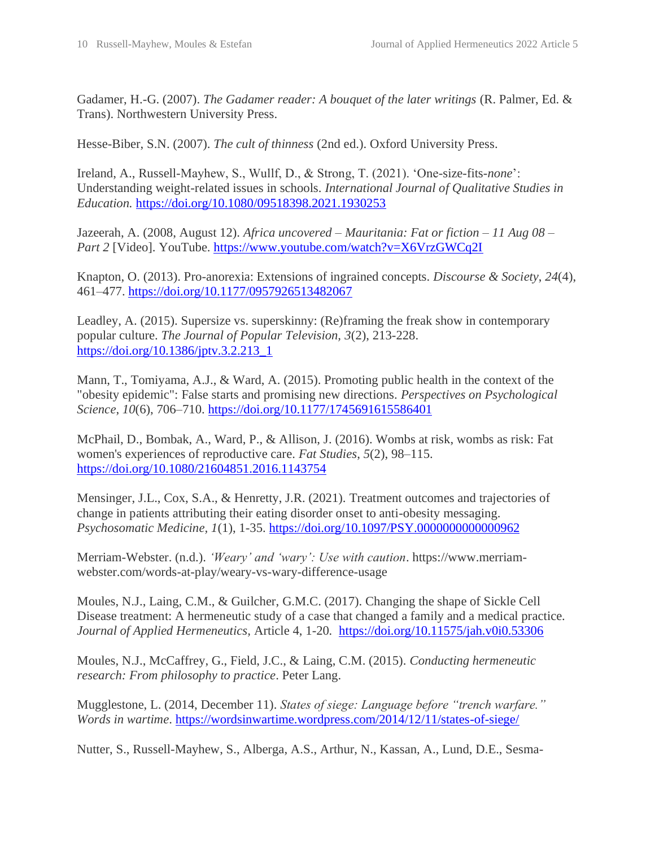Gadamer, H.-G. (2007). *The Gadamer reader: A bouquet of the later writings* (R. Palmer, Ed. & Trans). Northwestern University Press.

Hesse-Biber, S.N. (2007). *The cult of thinness* (2nd ed.). Oxford University Press.

Ireland, A., Russell-Mayhew, S., Wullf, D., & Strong, T. (2021). 'One-size-fits-*none*': Understanding weight-related issues in schools. *International Journal of Qualitative Studies in Education.* <https://doi.org/10.1080/09518398.2021.1930253>

Jazeerah, A. (2008, August 12). *Africa uncovered – Mauritania: Fat or fiction – 11 Aug 08 – Part 2* [Video]. YouTube.<https://www.youtube.com/watch?v=X6VrzGWCq2I>

Knapton, O. (2013). Pro-anorexia: Extensions of ingrained concepts. *Discourse & Society*, *24*(4), 461–477.<https://doi.org/10.1177/0957926513482067>

Leadley, A. (2015). Supersize vs. superskinny: (Re)framing the freak show in contemporary popular culture. *The Journal of Popular Television, 3*(2), 213-228. [https://doi.org/10.1386/jptv.3.2.213\\_1](https://doi.org/10.1386/jptv.3.2.213_1)

Mann, T., Tomiyama, A.J., & Ward, A. (2015). Promoting public health in the context of the "obesity epidemic": False starts and promising new directions. *Perspectives on Psychological Science*, *10*(6), 706–710.<https://doi.org/10.1177/1745691615586401>

McPhail, D., Bombak, A., Ward, P., & Allison, J. (2016). Wombs at risk, wombs as risk: Fat women's experiences of reproductive care. *Fat Studies*, *5*(2), 98–115. <https://doi.org/10.1080/21604851.2016.1143754>

Mensinger, J.L., Cox, S.A., & Henretty, J.R. (2021). Treatment outcomes and trajectories of change in patients attributing their eating disorder onset to anti-obesity messaging. *Psychosomatic Medicine, 1*(1), 1-35.<https://doi.org/10.1097/PSY.0000000000000962>

Merriam-Webster. (n.d.). *'Weary' and 'wary': Use with caution*. https://www.merriamwebster.com/words-at-play/weary-vs-wary-difference-usage

Moules, N.J., Laing, C.M., & Guilcher, G.M.C. (2017). Changing the shape of Sickle Cell Disease treatment: A hermeneutic study of a case that changed a family and a medical practice. *Journal of Applied Hermeneutics,* Article 4, 1-20*.* <https://doi.org/10.11575/jah.v0i0.53306>

Moules, N.J., McCaffrey, G., Field, J.C., & Laing, C.M. (2015). *Conducting hermeneutic research: From philosophy to practice*. Peter Lang.

Mugglestone, L. (2014, December 11). *States of siege: Language before "trench warfare." Words in wartime*.<https://wordsinwartime.wordpress.com/2014/12/11/states-of-siege/>

Nutter, S., Russell-Mayhew, S., Alberga, A.S., Arthur, N., Kassan, A., Lund, D.E., Sesma-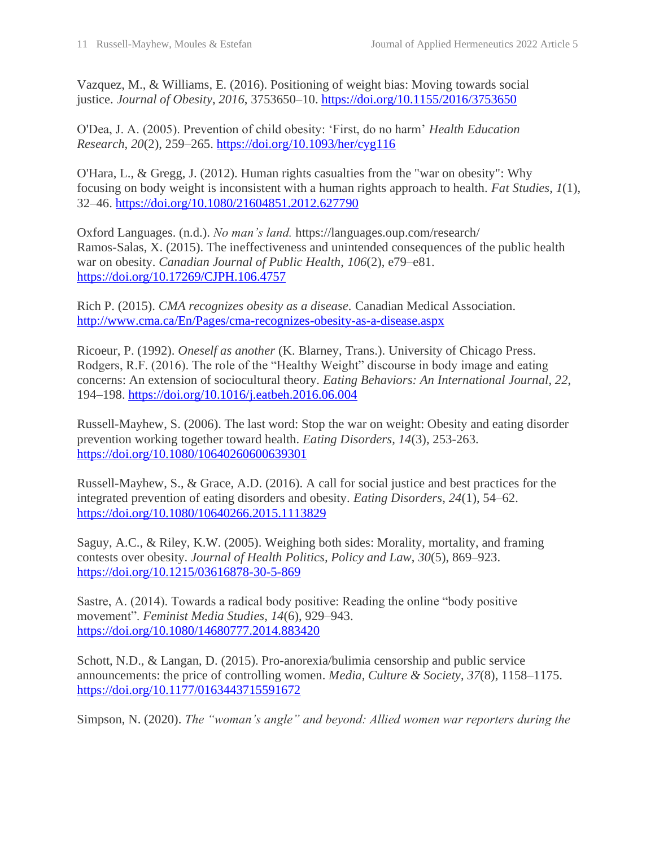Vazquez, M., & Williams, E. (2016). Positioning of weight bias: Moving towards social justice. *Journal of Obesity*, *2016*, 3753650–10.<https://doi.org/10.1155/2016/3753650>

O'Dea, J. A. (2005). Prevention of child obesity: 'First, do no harm' *Health Education Research*, *20*(2), 259–265.<https://doi.org/10.1093/her/cyg116>

O'Hara, L., & Gregg, J. (2012). Human rights casualties from the "war on obesity": Why focusing on body weight is inconsistent with a human rights approach to health. *Fat Studies*, *1*(1), 32–46.<https://doi.org/10.1080/21604851.2012.627790>

Oxford Languages. (n.d.). *No man's land.* https://languages.oup.com/research/ Ramos-Salas, X. (2015). The ineffectiveness and unintended consequences of the public health war on obesity. *Canadian Journal of Public Health*, *106*(2), e79–e81. <https://doi.org/10.17269/CJPH.106.4757>

Rich P. (2015). *CMA recognizes obesity as a disease.* Canadian Medical Association. <http://www.cma.ca/En/Pages/cma-recognizes-obesity-as-a-disease.aspx>

Ricoeur, P. (1992). *Oneself as another* (K. Blarney, Trans.). University of Chicago Press. Rodgers, R.F. (2016). The role of the "Healthy Weight" discourse in body image and eating concerns: An extension of sociocultural theory. *Eating Behaviors: An International Journal*, *22*, 194–198.<https://doi.org/10.1016/j.eatbeh.2016.06.004>

Russell-Mayhew, S. (2006). The last word: Stop the war on weight: Obesity and eating disorder prevention working together toward health. *Eating Disorders, 14*(3), 253-263. <https://doi.org/10.1080/10640260600639301>

Russell-Mayhew, S., & Grace, A.D. (2016). A call for social justice and best practices for the integrated prevention of eating disorders and obesity. *Eating Disorders*, *24*(1), 54–62. <https://doi.org/10.1080/10640266.2015.1113829>

Saguy, A.C., & Riley, K.W. (2005). Weighing both sides: Morality, mortality, and framing contests over obesity. *Journal of Health Politics, Policy and Law*, *30*(5), 869–923. <https://doi.org/10.1215/03616878-30-5-869>

Sastre, A. (2014). Towards a radical body positive: Reading the online "body positive movement". *Feminist Media Studies*, *14*(6), 929–943. <https://doi.org/10.1080/14680777.2014.883420>

Schott, N.D., & Langan, D. (2015). Pro-anorexia/bulimia censorship and public service announcements: the price of controlling women. *Media, Culture & Society*, *37*(8), 1158–1175. <https://doi.org/10.1177/0163443715591672>

Simpson, N. (2020). *The "woman's angle" and beyond: Allied women war reporters during the*